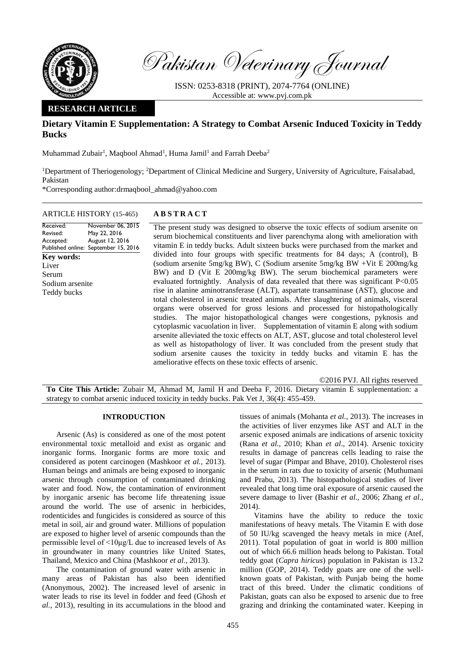

Pakistan Veterinary Journal

ISSN: 0253-8318 (PRINT), 2074-7764 (ONLINE) Accessible at: [www.pvj.com.pk](http://www.pvj.com.pk/)

## **RESEARCH ARTICLE**

# **Dietary Vitamin E Supplementation: A Strategy to Combat Arsenic Induced Toxicity in Teddy Bucks**

Muhammad Zubair<sup>1</sup>, Maqbool Ahmad<sup>1</sup>, Huma Jamil<sup>1</sup> and Farrah Deeba<sup>2</sup>

<sup>1</sup>Department of Theriogenology; <sup>2</sup>Department of Clinical Medicine and Surgery, University of Agriculture, Faisalabad, Pakistan

\*Corresponding author:drmaqbool\_ahmad@yahoo.com

## ARTICLE HISTORY (15-465) **A B S T R A C T**

Received: Revised: Accepted: Published online: September 15, 2016 November 06, 2015 May 22, 2016 August 12, 2016 **Key words:**  Liver Serum Sodium arsenite Teddy bucks

The present study was designed to observe the toxic effects of sodium arsenite on serum biochemical constituents and liver parenchyma along with amelioration with vitamin E in teddy bucks. Adult sixteen bucks were purchased from the market and divided into four groups with specific treatments for 84 days; A (control), B (sodium arsenite 5mg/kg BW), C (Sodium arsenite 5mg/kg BW +Vit E 200mg/kg BW) and D (Vit E 200mg/kg BW). The serum biochemical parameters were evaluated fortnightly. Analysis of data revealed that there was significant P<0.05 rise in alanine aminotransferase (ALT), aspartate transaminase (AST), glucose and total cholesterol in arsenic treated animals. After slaughtering of animals, visceral organs were observed for gross lesions and processed for histopathologically studies. The major histopathological changes were congestions, pyknosis and cytoplasmic vacuolation in liver. Supplementation of vitamin E along with sodium arsenite alleviated the toxic effects on ALT, AST, glucose and total cholesterol level as well as histopathology of liver. It was concluded from the present study that sodium arsenite causes the toxicity in teddy bucks and vitamin E has the ameliorative effects on these toxic effects of arsenic.

©2016 PVJ. All rights reserved

**To Cite This Article:** Zubair M, Ahmad M, Jamil H and Deeba F, 2016. Dietary vitamin E supplementation: a strategy to combat arsenic induced toxicity in teddy bucks. Pak Vet J, 36(4): 455-459.

### **INTRODUCTION**

Arsenic (As) is considered as one of the most potent environmental toxic metalloid and exist as organic and inorganic forms. Inorganic forms are more toxic and considered as potent carcinogen (Mashkoor *et al.,* 2013). Human beings and animals are being exposed to inorganic arsenic through consumption of contaminated drinking water and food. Now, the contamination of environment by inorganic arsenic has become life threatening issue around the world. The use of arsenic in herbicides, rodenticides and fungicides is considered as source of this metal in soil, air and ground water. Millions of population are exposed to higher level of arsenic compounds than the permissible level of <10μg/L due to increased levels of As in groundwater in many countries like United States, Thailand, Mexico and China (Mashkoor *et al.,* 2013).

The contamination of ground water with arsenic in many areas of Pakistan has also been identified (Anonymous, 2002). The increased level of arsenic in water leads to rise its level in fodder and feed (Ghosh *et al.,* 2013), resulting in its accumulations in the blood and

tissues of animals (Mohanta *et al.,* 2013). The increases in the activities of liver enzymes like AST and ALT in the arsenic exposed animals are indications of arsenic toxicity (Rana *et al.,* 2010; Khan *et al*., 2014). Arsenic toxicity results in damage of pancreas cells leading to raise the level of sugar (Pimpar and Bhave, 2010). Cholesterol rises in the serum in rats due to toxicity of arsenic (Muthumani and Prabu, 2013). The histopathological studies of liver revealed that long time oral exposure of arsenic caused the severe damage to liver (Bashir *et al.*, 2006; Zhang *et al*., 2014).

Vitamins have the ability to reduce the toxic manifestations of heavy metals. The Vitamin E with dose of 50 IU/kg scavenged the heavy metals in mice (Atef, 2011). Total population of goat in world is 800 million out of which 66.6 million heads belong to Pakistan. Total teddy goat (*Capra hiricus*) population in Pakistan is 13.2 million (GOP, 2014). Teddy goats are one of the wellknown goats of Pakistan, with Punjab being the home tract of this breed. Under the climatic conditions of Pakistan, goats can also be exposed to arsenic due to free grazing and drinking the contaminated water. Keeping in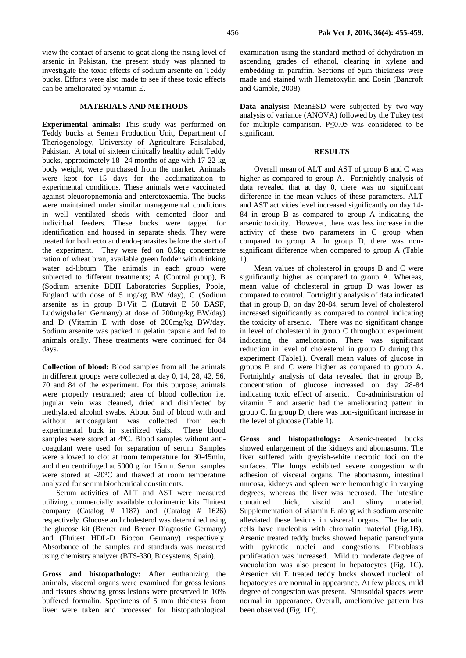view the contact of arsenic to goat along the rising level of arsenic in Pakistan, the present study was planned to investigate the toxic effects of sodium arsenite on Teddy bucks. Efforts were also made to see if these toxic effects can be ameliorated by vitamin E.

### **MATERIALS AND METHODS**

**Experimental animals:** This study was performed on Teddy bucks at Semen Production Unit, Department of Theriogenology, University of Agriculture Faisalabad, Pakistan. A total of sixteen clinically healthy adult Teddy bucks, approximately 18 -24 months of age with 17-22 kg body weight, were purchased from the market. Animals were kept for 15 days for the acclimatization to experimental conditions. These animals were vaccinated against pleuoropnemonia and enterotoxaemia. The bucks were maintained under similar managemental conditions in well ventilated sheds with cemented floor and individual feeders. These bucks were tagged for identification and housed in separate sheds. They were treated for both ecto and endo-parasites before the start of the experiment. They were fed on 0.5kg concentrate ration of wheat bran, available green fodder with drinking water ad-libtum. The animals in each group were subjected to different treatments; A (Control group), B **(**Sodium arsenite BDH Laboratories Supplies, Poole, England with dose of 5 mg/kg BW /day), C (Sodium arsenite as in group B+Vit E (Lutavit E 50 BASF, Ludwigshafen Germany) at dose of 200mg/kg BW/day) and D (Vitamin E with dose of 200mg/kg BW/day. Sodium arsenite was packed in gelatin capsule and fed to animals orally. These treatments were continued for 84 days.

**Collection of blood:** Blood samples from all the animals in different groups were collected at day 0, 14, 28, 42, 56, 70 and 84 of the experiment. For this purpose, animals were properly restrained; area of blood collection i.e. jugular vein was cleaned, dried and disinfected by methylated alcohol swabs. About 5ml of blood with and without anticoagulant was collected from each experimental buck in sterilized vials. These blood samples were stored at 4°C. Blood samples without anticoagulant were used for separation of serum. Samples were allowed to clot at room temperature for 30-45min, and then centrifuged at 5000 g for 15min. Serum samples were stored at -20°C and thawed at room temperature analyzed for serum biochemical constituents.

Serum activities of ALT and AST were measured utilizing commercially available colorimetric kits Fluitest company (Catalog  $\#$  1187) and (Catalog  $\#$  1626) respectively. Glucose and cholesterol was determined using the glucose kit (Breuer and Breuer Diagnostic Germany) and (Fluitest HDL-D Biocon Germany) respectively. Absorbance of the samples and standards was measured using chemistry analyzer (BTS-330, Biosystems, Spain).

**Gross and histopathology:** After euthanizing the animals, visceral organs were examined for gross lesions and tissues showing gross lesions were preserved in 10% buffered formalin. Specimens of 5 mm thickness from liver were taken and processed for histopathological

examination using the standard method of dehydration in ascending grades of ethanol, clearing in xylene and embedding in paraffin. Sections of 5μm thickness were made and stained with Hematoxylin and Eosin (Bancroft and Gamble, 2008).

**Data analysis:** Mean±SD were subjected by two-way analysis of variance (ANOVA) followed by the Tukey test for multiple comparison. P≤0.05 was considered to be significant.

#### **RESULTS**

Overall mean of ALT and AST of group B and C was higher as compared to group A. Fortnightly analysis of data revealed that at day 0, there was no significant difference in the mean values of these parameters. ALT and AST activities level increased significantly on day 14- 84 in group B as compared to group A indicating the arsenic toxicity. However, there was less increase in the activity of these two parameters in C group when compared to group A. In group D, there was nonsignificant difference when compared to group A (Table 1).

Mean values of cholesterol in groups B and C were significantly higher as compared to group A. Whereas, mean value of cholesterol in group D was lower as compared to control. Fortnightly analysis of data indicated that in group B, on day 28-84, serum level of cholesterol increased significantly as compared to control indicating the toxicity of arsenic. There was no significant change in level of cholesterol in group C throughout experiment indicating the amelioration. There was significant reduction in level of cholesterol in group D during this experiment (Table1). Overall mean values of glucose in groups B and C were higher as compared to group A. Fortnightly analysis of data revealed that in group B, concentration of glucose increased on day 28-84 indicating toxic effect of arsenic. Co-administration of vitamin E and arsenic had the ameliorating pattern in group C. In group D, there was non-significant increase in the level of glucose (Table 1).

**Gross and histopathology:** Arsenic-treated bucks showed enlargement of the kidneys and abomasums. The liver suffered with greyish-white necrotic foci on the surfaces. The lungs exhibited severe congestion with adhesion of visceral organs. The abomasum, intestinal mucosa, kidneys and spleen were hemorrhagic in varying degrees, whereas the liver was necrosed. The intestine contained thick, viscid and slimy material. Supplementation of vitamin E along with sodium arsenite alleviated these lesions in visceral organs. The hepatic cells have nucleolus with chromatin material (Fig.1B). Arsenic treated teddy bucks showed hepatic parenchyma with pyknotic nuclei and congestions. Fibroblasts proliferation was increased. Mild to moderate degree of vacuolation was also present in hepatocytes (Fig. 1C). Arsenic+ vit E treated teddy bucks showed nucleoli of hepatocytes are normal in appearance. At few places, mild degree of congestion was present. Sinusoidal spaces were normal in appearance. Overall, ameliorative pattern has been observed (Fig. 1D).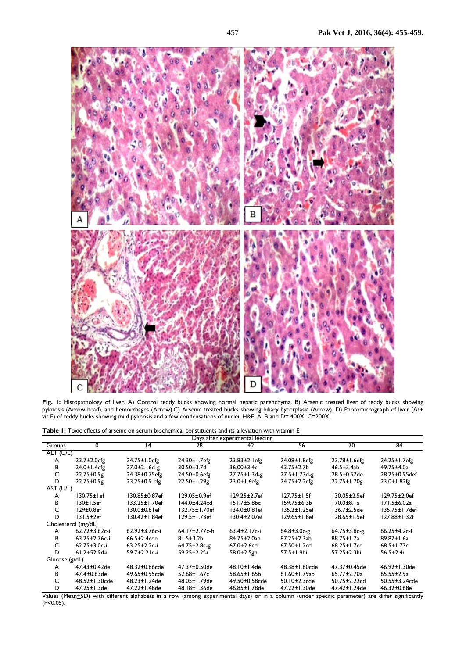

**Fig. 1:** Histopathology of liver. A) Control teddy bucks **s**howing normal hepatic parenchyma. B) Arsenic treated liver of teddy bucks showing pyknosis (Arrow head), and hemorrhages (Arrow).C) Arsenic treated bucks showing biliary hyperplasia (Arrow). D) Photomicrograph of liver (As+ vit E) of teddy bucks showing mild pyknosis and a few condensations of nuclei. H&E; A, B and D= 400X; C=200X.

| <b>Table 1:</b> Toxic effects of arsenic on serum biochemical constituents and its alleviation with vitamin E |  |
|---------------------------------------------------------------------------------------------------------------|--|
|---------------------------------------------------------------------------------------------------------------|--|

| Days after experimental feeding |                      |                      |                     |                                        |                     |                     |                        |  |
|---------------------------------|----------------------|----------------------|---------------------|----------------------------------------|---------------------|---------------------|------------------------|--|
| Groups                          | 0                    | 14                   | 28                  | 42                                     | 56                  | 70                  | 84                     |  |
| ALT (U/L)                       |                      |                      |                     |                                        |                     |                     |                        |  |
| A                               | $23.7 \pm 2.0$ efg   | 24.75±1.0efg         | 24.30±1.7efg        | $23.83 \pm 2.1$ efg                    | 24.08±1.8efg        | $23.78 \pm 1.6$ efg | 24.25±1.7efg           |  |
| в                               | $24.0 \pm 1.4$ efg   | 27.0±2.16d-g         | $30.50 \pm 3.7$ d   | $36.00 \pm 3.4c$                       | $43.75 \pm 2.7$ b   | $46.5 \pm 3.4$ ab   | 49.75±4.0a             |  |
| C                               | $22.75 \pm 0.9g$     | 24.38±0.75efg        | $24.50 \pm 0.6$ efg | $27.75 \pm 1.3$ d-g                    | $27.5 \pm 1.73$ d-g | 28.5±0.57de         | 28.25±0.95def          |  |
| D                               | $22.75 \pm 0.9g$     | 23.25±0.9 efg        | $22.50 \pm 1.29$ g  | $23.0 \pm 1.6$ efg                     | 24.75±2.2efg        | 22.75±1.70g         | $23.0 \pm 1.82$ fg     |  |
| AST (U/L)                       |                      |                      |                     |                                        |                     |                     |                        |  |
| A                               | 130.75±1ef           | 130.85±0.87ef        | 129.05±0.9ef        | $129.25 \pm 2.7$ ef                    | $127.75 \pm 1.5$ f  | 130.05±2.5ef        | $129.75 \pm 2.0$ ef    |  |
| в                               | 130±1.5ef            | 133.25±1.70ef        | 144.0±4.24cd        | $151.7 \pm 5.8$ bc                     | $159.75 \pm 6.3 b$  | $170.0 + 8.1a$      | 171.5±6.02a            |  |
| C                               | 129±0.8ef            | 130.0±0.81ef         | 132.75±1.70ef       | 134.0±0.81ef                           | 135.2±1.25ef        | 136.7±2.5de         | 135.75±1.7def          |  |
| D                               | 131.5±2ef            | 130.42±1.84ef        | 129.5±1.73ef        | 130.4±2.07ef                           | $129.65 \pm 1.8$ ef | 128.65±1.5ef        | 127.88±1.32f           |  |
|                                 | Cholesterol (mg/dL)  |                      |                     |                                        |                     |                     |                        |  |
| A                               | $62.72 \pm 3.62$ c-i | $62.92 \pm 3.76$ c-i | 64.17±2.77c-h       | $63.4 \pm 2.17$ c-i                    | $64.8 \pm 3.0c-g$   | $64.75 \pm 3.8$ c-g | $66.25 \pm 4.2c - f$   |  |
| в                               | $63.25 \pm 2.76$ c-i | $66.5 \pm 2.4$ cde   | $81.5 \pm 3.2 b$    | 84.75±2.0ab                            | $87.25 \pm 2.3ab$   | 88.75±1.7a          | 89.87±1.6a             |  |
| C                               | $62.75 \pm 3.0c - i$ | $63.25 \pm 2.2c - i$ | $64.75 \pm 2.8$ c-g | $67.0 \pm 2.6$ cd                      | 67.50±1.2cd         | $68.25 \pm 1.7$ cd  | $68.5 \pm 1.73c$       |  |
| D                               | $61.2 + 52.9d - i$   | 59.7±2.21e-i         | 59.25±2.2f-i        | $58.0 \pm 2.5$ ghi                     | $57.5 \pm 1.9$ hi   | 57.25±2.3hi         | $56.5 \pm 2.4i$        |  |
| Glucose $(g/dL)$                |                      |                      |                     |                                        |                     |                     |                        |  |
| A                               | 47.43±0.42de         | 48.32±0.86cde        | $47.37 \pm 0.50$ de | 48.10±1.4de                            | 48.38±1.80cde       | 47.37±0.45de        | 46.92±1.30de           |  |
| в                               | 47.4±0.63de          | 49.65±0.95cde        | 52.68±1.67c         | 58.65±1.65b                            | $61.60 \pm 1.79$ ab | 65.77±2.70a         | $65.55 \pm 2.9a$       |  |
| C                               | 48.52±1.30cde        | 48.23±1.24de         | 48.05±1.79de        | 49.50±0.58cde                          | 50.10±2.3cde        | 50.75±2.22cd        | 50.55±3.24cde          |  |
| D                               | $47.25 \pm 1.3$ de   | 47.22±1.48de         | 48.18±1.36de        | 46.85±1.78de                           | 47.22±1.30de        | 47.42±1.24de        | 46.32±0.68e            |  |
| .<br>$\sqrt{N}$                 | $\mathcal{L}$        | .                    |                     | $\mathbf{1}$ $\mathbf{1}$ $\mathbf{1}$ |                     | $\cdot$ .           | $1.000 \times 10^{-1}$ |  |

Values (Mean+SD) with different alphabets in a row (among experimental days) or in a column (under specific parameter) are differ significantly  $(P<0.05)$ .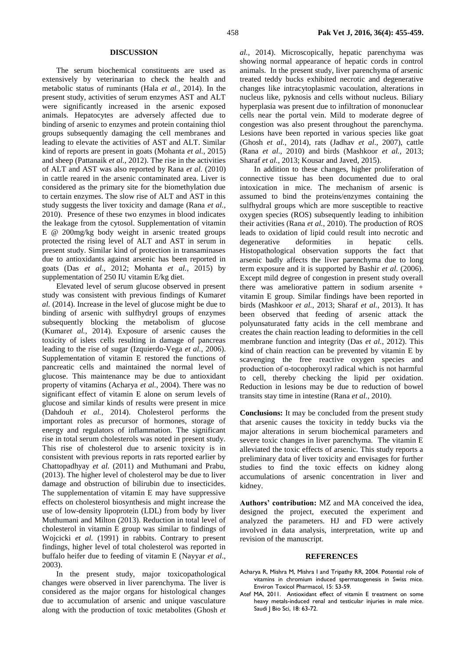#### **DISCUSSION**

The serum biochemical constituents are used as extensively by veterinarian to check the health and metabolic status of ruminants (Hala *et al.,* 2014). In the present study, activities of serum enzymes AST and ALT were significantly increased in the arsenic exposed animals. Hepatocytes are adversely affected due to binding of arsenic to enzymes and protein containing thiol groups subsequently damaging the cell membranes and leading to elevate the activities of AST and ALT. Similar kind of reports are present in goats (Mohanta *et al.,* 2015) and sheep (Pattanaik *et al.,* 2012). The rise in the activities of ALT and AST was also reported by Rana *et al.* (2010) in cattle reared in the arsenic contaminated area. Liver is considered as the primary site for the biomethylation due to certain enzymes. The slow rise of ALT and AST in this study suggests the liver toxicity and damage (Rana *et al.,* 2010). Presence of these two enzymes in blood indicates the leakage from the cytosol. Supplementation of vitamin E @ 200mg/kg body weight in arsenic treated groups protected the rising level of ALT and AST in serum in present study. Similar kind of protection in transaminases due to antioxidants against arsenic has been reported in goats (Das *et al.,* 2012; Mohanta *et al.,* 2015) by supplementation of 250 IU vitamin E/kg diet.

Elevated level of serum glucose observed in present study was consistent with previous findings of Kumar*et al.* (2014). Increase in the level of glucose might be due to binding of arsenic with sulfhydryl groups of enzymes subsequently blocking the metabolism of glucose (Kumar*et al.,* 2014). Exposure of arsenic causes the toxicity of islets cells resulting in damage of pancreas leading to the rise of sugar (Izquierdo-Vega *et al.,* 2006). Supplementation of vitamin E restored the functions of pancreatic cells and maintained the normal level of glucose. This maintenance may be due to antioxidant property of vitamins (Acharya *et al.,* 2004). There was no significant effect of vitamin E alone on serum levels of glucose and similar kinds of results were present in mice (Dahdouh *et al.*, 2014). Cholesterol performs the important roles as precursor of hormones, storage of energy and regulators of inflammation. The significant rise in total serum cholesterols was noted in present study. This rise of cholesterol due to arsenic toxicity is in consistent with previous reports in rats reported earlier by Chattopadhyay *et al.* (2011) and Muthumani and Prabu, (2013). The higher level of cholesterol may be due to liver damage and obstruction of bilirubin due to insecticides. The supplementation of vitamin E may have suppressive effects on cholesterol biosynthesis and might increase the use of low-density lipoprotein (LDL) from body by liver Muthumani and Milton (2013). Reduction in total level of cholesterol in vitamin E group was similar to findings of Wojcicki *et al.* (1991) in rabbits. Contrary to present findings, higher level of total cholesterol was reported in buffalo heifer due to feeding of vitamin E (Nayyar *et al*., 2003).

In the present study, major toxicopathological changes were observed in liver parenchyma. The liver is considered as the major organs for histological changes due to accumulation of arsenic and unique vasculature along with the production of toxic metabolites (Ghosh *et*  *al.,* 2014). Microscopically, hepatic parenchyma was showing normal appearance of hepatic cords in control animals. In the present study, liver parenchyma of arsenic treated teddy bucks exhibited necrotic and degenerative changes like intracytoplasmic vacoulation, alterations in nucleus like, pyknosis and cells without nucleus. Biliary hyperplasia was present due to infiltration of mononuclear cells near the portal vein. Mild to moderate degree of congestion was also present throughout the parenchyma. Lesions have been reported in various species like goat (Ghosh *et al.,* 2014), rats (Jadhav *et al*., 2007), cattle (Rana *et al*., 2010) and birds (Mashkoor *et al.,* 2013; Sharaf *et al.*, 2013; Kousar and Javed, 2015).

In addition to these changes, higher proliferation of connective tissue has been documented due to oral intoxication in mice. The mechanism of arsenic is assumed to bind the proteins/enzymes containing the sulfhydral groups which are more susceptible to reactive oxygen species (ROS) subsequently leading to inhibition their activities (Rana *et al.*, 2010). The production of ROS leads to oxidation of lipid could result into necrotic and degenerative deformities in hepatic cells. Histopathological observation supports the fact that arsenic badly affects the liver parenchyma due to long term exposure and it is supported by Bashir *et al.* (2006). Except mild degree of congestion in present study overall there was ameliorative pattern in sodium arsenite  $+$ vitamin E group. Similar findings have been reported in birds (Mashkoor *et al.,* 2013; Sharaf *et al.*, 2013). It has been observed that feeding of arsenic attack the polyunsaturated fatty acids in the cell membrane and creates the chain reaction leading to deformities in the cell membrane function and integrity (Das *et al.,* 2012). This kind of chain reaction can be prevented by vitamin E by scavenging the free reactive oxygen species and production of α-tocopheroxyl radical which is not harmful to cell, thereby checking the lipid per oxidation. Reduction in lesions may be due to reduction of bowel transits stay time in intestine (Rana *et al.,* 2010).

**Conclusions:** It may be concluded from the present study that arsenic causes the toxicity in teddy bucks via the major alterations in serum biochemical parameters and severe toxic changes in liver parenchyma. The vitamin E alleviated the toxic effects of arsenic. This study reports a preliminary data of liver toxicity and envisages for further studies to find the toxic effects on kidney along accumulations of arsenic concentration in liver and kidney.

**Authors' contribution:** MZ and MA conceived the idea, designed the project, executed the experiment and analyzed the parameters. HJ and FD were actively involved in data analysis, interpretation, write up and revision of the manuscript.

#### **REFERENCES**

- Acharya R, Mishra M, Mishra I and Tripathy RR, 2004. Potential role of vitamins in chromium induced spermatogenesis in Swiss mice. Environ Toxicol Pharmacol, 15: 53-59.
- Atef MA, 2011. Antioxidant effect of vitamin E treatment on some heavy metals-induced renal and testicular injuries in male mice. Saudi J Bio Sci, 18: 63-72.